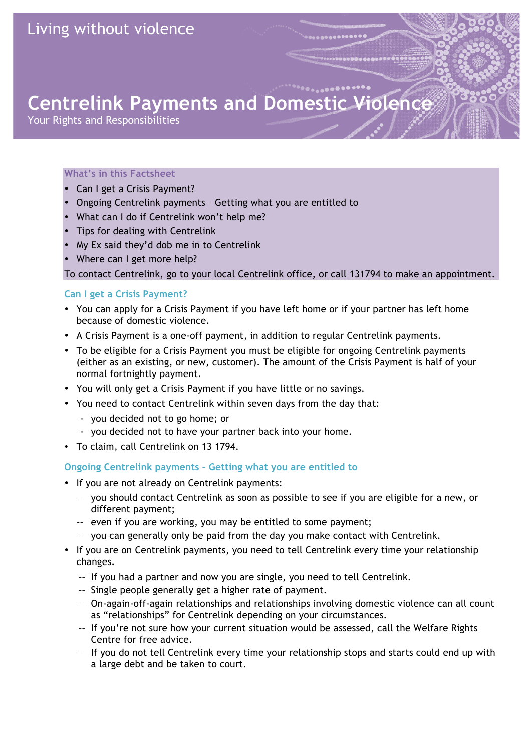# **Centrelink Payments and Domestic Violence**

Your Rights and Responsibilities

### **What's in this Factsheet**

- Can I get a Crisis Payment?
- Ongoing Centrelink payments Getting what you are entitled to
- What can I do if Centrelink won't help me?
- Tips for dealing with Centrelink
- My Ex said they'd dob me in to Centrelink
- Where can I get more help?

To contact Centrelink, go to your local Centrelink office, or call 131794 to make an appointment.

## **Can I get a Crisis Payment?**

- You can apply for a Crisis Payment if you have left home or if your partner has left home because of domestic violence.
- A Crisis Payment is a one-off payment, in addition to regular Centrelink payments.
- To be eligible for a Crisis Payment you must be eligible for ongoing Centrelink payments (either as an existing, or new, customer). The amount of the Crisis Payment is half of your normal fortnightly payment.
- You will only get a Crisis Payment if you have little or no savings.
- You need to contact Centrelink within seven days from the day that:
	- –- you decided not to go home; or
	- –- you decided not to have your partner back into your home.
- To claim, call Centrelink on 13 1794.

### **Ongoing Centrelink payments – Getting what you are entitled to**

- If you are not already on Centrelink payments:
	- –– you should contact Centrelink as soon as possible to see if you are eligible for a new, or different payment;
	- –– even if you are working, you may be entitled to some payment;
	- –– you can generally only be paid from the day you make contact with Centrelink.
- If you are on Centrelink payments, you need to tell Centrelink every time your relationship changes.
	- –– If you had a partner and now you are single, you need to tell Centrelink.
	- –– Single people generally get a higher rate of payment.
	- –– On-again-off-again relationships and relationships involving domestic violence can all count as "relationships" for Centrelink depending on your circumstances.
	- –– If you're not sure how your current situation would be assessed, call the Welfare Rights Centre for free advice.
	- –– If you do not tell Centrelink every time your relationship stops and starts could end up with a large debt and be taken to court.